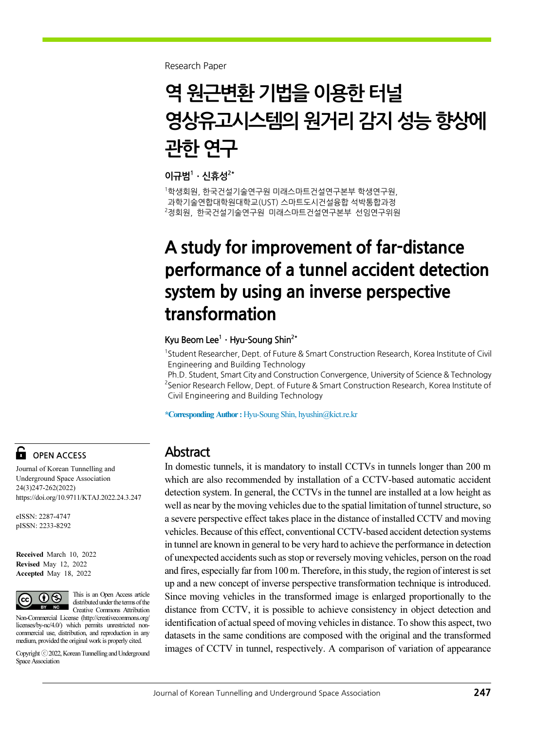Research Paper

# 역 원근변환 기법을 이용한 터널 영상유고시스템의 원거리 감지 성능 향상에 관한 연구

이규범 $1 \cdot$ 신휴성 $^{2*}$ 

1 학생회원, 한국건설기술연구원 미래스마트건설연구본부 학생연구원, 과학기술연합대학원대학교(UST) 스마트도시건설융합 석박통합과정 2 정회원, 한국건설기술연구원 미래스마트건설연구본부 선임연구위원

## A study for improvement of far-distance performance of a tunnel accident detection system by using an inverse perspective transformation

#### Kyu Beom Lee<sup>1</sup> · Hyu-Soung Shin<sup>2\*</sup>

<sup>1</sup>Student Researcher, Dept. of Future & Smart Construction Research, Korea Institute of Civil Engineering and Building Technology

Ph.D. Student, Smart City and Construction Convergence, University of Science & Technology <sup>2</sup> Senior Research Fellow, Dept. of Future & Smart Construction Research, Korea Institute of Civil Engineering and Building Technology

\*Corresponding Author : Hyu-Soung Shin, hyushin@kict.re.kr

#### Abstract

In domestic tunnels, it is mandatory to install CCTVs in tunnels longer than 200 m which are also recommended by installation of a CCTV-based automatic accident detection system. In general, the CCTVs in the tunnel are installed at a low height as well as near by the moving vehicles due to the spatial limitation of tunnel structure, so a severe perspective effect takes place in the distance of installed CCTV and moving vehicles. Because of this effect, conventional CCTV-based accident detection systems in tunnel are known in general to be very hard to achieve the performance in detection of unexpected accidents such as stop or reversely moving vehicles, person on the road and fires, especially far from 100 m. Therefore, in this study, the region of interest is set up and a new concept of inverse perspective transformation technique is introduced. Since moving vehicles in the transformed image is enlarged proportionally to the distance from CCTV, it is possible to achieve consistency in object detection and identification of actual speed of moving vehicles in distance. To show this aspect, two datasets in the same conditions are composed with the original and the transformed images of CCTV in tunnel, respectively. A comparison of variation of appearance

### OPEN ACCESS

Journal of Korean Tunnelling and Underground Space Association 24(3)247-262(2022) https://doi.org/10.9711/KTAJ.2022.24.3.247

eISSN: 2287-4747 pISSN: 2233-8292

Received March 10, 2022 Revised May 12, 2022 Accepted May 18, 2022



This is an Open Access article distributed under the terms of the Creative Commons Attribution

Non-Commercial License (http://creativecommons.org/ licenses/by-nc/4.0/) which permits unrestricted noncommercial use, distribution, and reproduction in any medium, provided the original work is properly cited.

Copyright ⓒ2022, Korean Tunnelling and Underground Space Association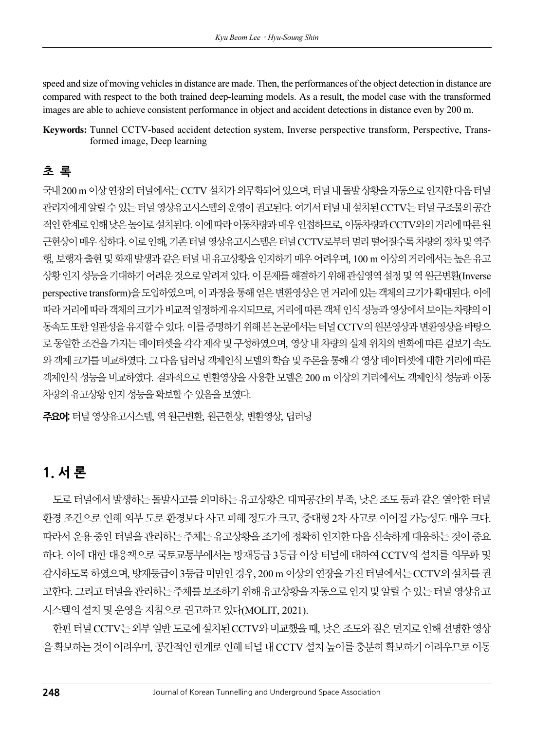speed and size of moving vehicles in distance are made. Then, the performances of the object detection in distance are compared with respect to the both trained deep-learning models. As a result, the model case with the transformed images are able to achieve consistent performance in object and accident detections in distance even by 200 m.

Keywords: Tunnel CCTV-based accident detection system, Inverse perspective transform, Perspective, Transformed image, Deep learning

### 초 록

국내 200 m 이상 연장의 터널에서는 CCTV 설치가 의무화되어 있으며, 터널 내 돌발 상황을 자동으로 인지한 다음 터널 관리자에게 알릴 수 있는 터널 영상유고시스템의 운영이 권고된다. 여기서 터널 내 설치된 CCTV는 터널 구조물의 공간 적인 한계로 인해 낮은 높이로 설치된다. 이에 따라 이동차량과 매우 인접하므로, 이동차량과 CCTV와의 거리에 따른 원 근현상이 매우 심하다. 이로 인해, 기존 터널 영상유고시스템은 터널 CCTV로부터 멀리 떨어질수록 차량의 정차 및 역주 행, 보행자 출현 및 화재 발생과 같은 터널 내 유고상황을 인지하기 매우 어려우며, 100 m 이상의 거리에서는 높은 유고 상황 인지 성능을 기대하기 어려운 것으로 알려져 있다. 이 문제를 해결하기 위해 관심영역 설정 및 역 원근변환(Inverse perspective transform)을 도입하였으며, 이 과정을 통해 얻은 변환영상은 먼 거리에 있는 객체의 크기가 확대된다. 이에 따라 거리에 따라 객체의 크기가 비교적 일정하게 유지되므로, 거리에 따른 객체 인식 성능과 영상에서 보이는 차량의 이 동속도 또한 일관성을 유지할 수 있다. 이를 증명하기 위해 본 논문에서는 터널 CCTV의 원본영상과 변환영상을 바탕으 로 동일한 조건을 가지는 데이터셋을 각각 제작 및 구성하였으며, 영상 내 차량의 실제 위치의 변화에 따른 겉보기 속도 와 객체 크기를 비교하였다. 그 다음 딥러닝 객체인식 모델의 학습 및 추론을 통해 각 영상 데이터셋에 대한 거리에 따른 객체인식 성능을 비교하였다. 결과적으로 변환영상을 사용한 모델은 200 m 이상의 거리에서도 객체인식 성능과 이동 차량의 유고상황 인지 성능을 확보할 수 있음을 보였다.

주요어: 터널 영상유고시스템, 역 원근변환, 원근현상, 변환영상, 딥러닝

### 1. 서 론

도로 터널에서 발생하는 돌발사고를 의미하는 유고상황은 대피공간의 부족, 낮은 조도 등과 같은 열악한 터널 환경 조건으로 인해 외부 도로 환경보다 사고 피해 정도가 크고, 중대형 2차 사고로 이어질 가능성도 매우 크다. 따라서 운용 중인 터널을 관리하는 주체는 유고상황을 조기에 정확히 인지한 다음 신속하게 대응하는 것이 중요 하다. 이에 대한 대응책으로 국토교통부에서는 방재등급 3등급 이상 터널에 대하여 CCTV의 설치를 의무화 및 감시하도록 하였으며, 방재등급이 3등급 미만인 경우, 200 m 이상의 연장을 가진 터널에서는 CCTV의 설치를 권 고한다. 그리고 터널을 관리하는 주체를 보조하기 위해 유고상황을 자동으로 인지 및 알릴 수 있는 터널 영상유고 시스템의 설치 및 운영을 지침으로 권고하고 있다(MOLIT, 2021).

한편 터널 CCTV는 외부 일반 도로에 설치된 CCTV와 비교했을 때, 낮은 조도와 짙은 먼지로 인해 선명한 영상 을 확보하는 것이 어려우며, 공간적인 한계로 인해 터널 내 CCTV 설치 높이를 충분히 확보하기 어려우므로 이동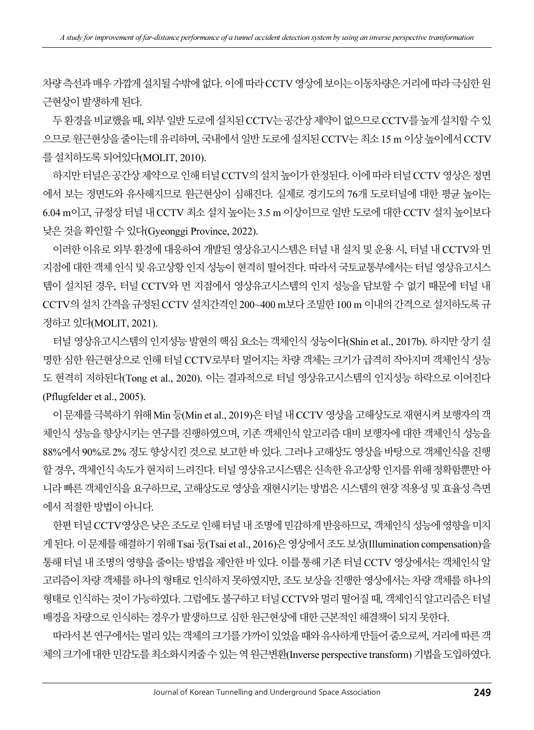차량 측선과 매우 가깝게 설치될 수밖에 없다. 이에 따라 CCTV 영상에 보이는 이동차량은 거리에 따라 극심한 원 근현상이 발생하게 된다.

두 환경을 비교했을 때, 외부 일반 도로에 설치된 CCTV는 공간상 제약이 없으므로 CCTV를 높게 설치할 수 있 으므로 원근현상을 줄이는데 유리하며, 국내에서 일반 도로에 설치된 CCTV는 최소 15 m 이상 높이에서 CCTV 를 설치하도록 되어있다(MOLIT, 2010).

하지만 터널은 공간상 제약으로 인해 터널 CCTV의 설치 높이가 한정된다. 이에 따라 터널 CCTV 영상은 정면 에서 보는 정면도와 유사해지므로 원근현상이 심해진다. 실제로 경기도의 76개 도로터널에 대한 평균 높이는 6.04 m이고, 규정상 터널 내 CCTV 최소 설치 높이는 3.5 m 이상이므로 일반 도로에 대한 CCTV 설치 높이보다 낮은 것을 확인할 수 있다(Gyeonggi Province, 2022).

이러한 이유로 외부 환경에 대응하여 개발된 영상유고시스템은 터널 내 설치 및 운용 시, 터널 내 CCTV와 먼 지점에 대한 객체 인식 및 유고상황 인지 성능이 현격히 떨어진다. 따라서 국토교통부에서는 터널 영상유고시스 템이 설치된 경우, 터널 CCTV와 먼 지점에서 영상유고시스템의 인지 성능을 담보할 수 없기 때문에 터널 내 CCTV의 설치 간격을 규정된 CCTV 설치간격인 200~400 m보다 조밀한 100 m 이내의 간격으로 설치하도록 규 정하고 있다(MOLIT, 2021).

터널 영상유고시스템의 인지성능 발현의 핵심 요소는 객체인식 성능이다(Shin et al., 2017b). 하지만 상기 설 명한 심한 원근현상으로 인해 터널 CCTV로부터 멀어지는 차량 객체는 크기가 급격히 작아지며 객체인식 성능 도 현격히 저하된다(Tong et al., 2020). 이는 결과적으로 터널 영상유고시스템의 인지성능 하락으로 이어진다 (Pflugfelder et al., 2005).

이 문제를 극복하기 위해 Min 등(Min et al., 2019)은 터널 내 CCTV 영상을 고해상도로 재현시켜 보행자의 객 체인식 성능을 향상시키는 연구를 진행하였으며, 기존 객체인식 알고리즘 대비 보행자에 대한 객체인식 성능을 88%에서 90%로 2% 정도 향상시킨 것으로 보고한 바 있다. 그러나 고해상도 영상을 바탕으로 객체인식을 진행 할 경우, 객체인식 속도가 현저히 느려진다. 터널 영상유고시스템은 신속한 유고상황 인지를 위해 정확함뿐만 아 니라 빠른 객체인식을 요구하므로, 고해상도로 영상을 재현시키는 방법은 시스템의 현장 적용성 및 효율성 측면 에서 적절한 방법이 아니다.

한편 터널 CCTV영상은 낮은 조도로 인해 터널 내 조명에 민감하게 반응하므로, 객체인식 성능에 영향을 미치 게 된다. 이 문제를 해결하기 위해 Tsai 등(Tsai et al., 2016)은 영상에서 조도 보상(Illumination compensation)을 통해 터널 내 조명의 영향을 줄이는 방법을 제안한 바 있다. 이를 통해 기존 터널 CCTV 영상에서는 객체인식 알 고리즘이 차량 객체를 하나의 형태로 인식하지 못하였지만, 조도 보상을 진행한 영상에서는 차량 객체를 하나의 형태로 인식하는 것이 가능하였다. 그럼에도 불구하고 터널 CCTV와 멀리 떨어질 때, 객체인식 알고리즘은 터널 배경을 차량으로 인식하는 경우가 발생하므로 심한 원근현상에 대한 근본적인 해결책이 되지 못한다.

따라서 본 연구에서는 멀리 있는 객체의 크기를 가까이 있었을 때와 유사하게 만들어 줌으로써, 거리에 따른 객 체의 크기에 대한 민감도를 최소화시켜줄 수 있는 역 원근변환(Inverse perspective transform) 기법을 도입하였다.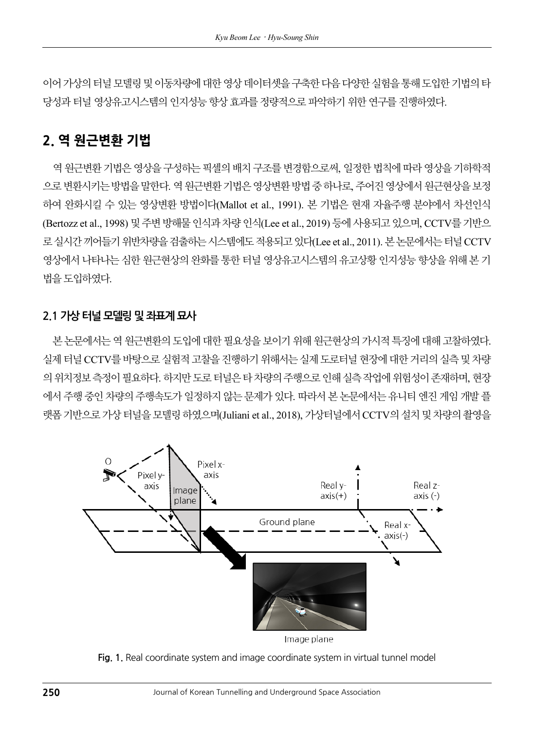이어 가상의 터널 모델링 및 이동차량에 대한 영상 데이터셋을 구축한 다음 다양한 실험을 통해 도입한 기법의 타 당성과 터널 영상유고시스템의 인지성능 향상 효과를 정량적으로 파악하기 위한 연구를 진행하였다.

### 2. 역 원근변환 기법

역 원근변환 기법은 영상을 구성하는 픽셀의 배치 구조를 변경함으로써, 일정한 법칙에 따라 영상을 기하학적 으로 변환시키는 방법을 말한다. 역 원근변환 기법은 영상변환 방법 중 하나로, 주어진 영상에서 원근현상을 보정 하여 완화시킬 수 있는 영상변환 방법이다(Mallot et al., 1991). 본 기법은 현재 자율주행 분야에서 차선인식 (Bertozz et al., 1998) 및 주변 방해물 인식과 차량 인식(Lee et al., 2019) 등에 사용되고 있으며, CCTV를 기반으 로 실시간 끼어들기 위반차량을 검출하는 시스템에도 적용되고 있다(Lee et al., 2011). 본 논문에서는 터널 CCTV 영상에서 나타나는 심한 원근현상의 완화를 통한 터널 영상유고시스템의 유고상황 인지성능 향상을 위해 본 기법을 도입하였다.

#### 2.1 가상 터널 모델링 및 좌표계 묘사

본 논문에서는 역 원근변환의 도입에 대한 필요성을 보이기 위해 원근현상의 가시적 특징에 대해 고찰하였다. 실제 터널 CCTV를 바탕으로 실험적 고찰을 진행하기 위해서는 실제 도로터널 현장에 대한 거리의 실측 및 차량 의 위치정보 측정이 필요하다. 하지만 도로 터널은 타 차량의 주행으로 인해 실측 작업에 위험성이 존재하며, 현장 에서 주행 중인 차량의 주행속도가 일정하지 않는 문제가 있다. 따라서 본 논문에서는 유니티 엔진 게임 개발 플 랫폼 기반으로 가상 터널을 모델링 하였으며(Juliani et al., 2018), 가상터널에서 CCTV의 설치 및 차량의 촬영을



Fig. 1. Real coordinate system and image coordinate system in virtual tunnel model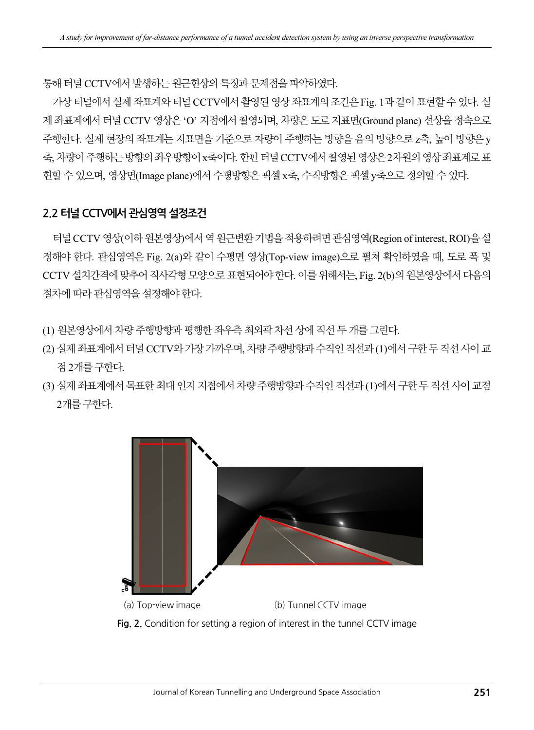통해 터널 CCTV에서 발생하는 원근현상의 특징과 문제점을 파악하였다.

가상 터널에서 실제 좌표계와 터널 CCTV에서 촬영된 영상 좌표계의 조건은 Fig. 1과 같이 표현할 수 있다. 실 제 좌표계에서 터널 CCTV 영상은 'O' 지점에서 촬영되며, 차량은 도로 지표면(Ground plane) 선상을 정속으로 주행한다. 실제 현장의 좌표계는 지표면을 기준으로 차량이 주행하는 방향을 음의 방향으로 z축, 높이 방향은 y 축, 차량이 주행하는 방향의 좌우방향이 x축이다. 한편 터널 CCTV에서 촬영된 영상은 2차원의 영상 좌표계로 표 현할 수 있으며, 영상면(Image plane)에서 수평방향은 픽셀 x축, 수직방향은 픽셀 y축으로 정의할 수 있다.

#### 2.2 터널 CCTV에서 관심영역 설정조건

터널 CCTV 영상(이하 원본영상)에서 역 원근변환 기법을 적용하려면 관심영역(Region of interest, ROI)을 설 정해야 한다. 관심영역은 Fig. 2(a)와 같이 수평면 영상(Top-view image)으로 펼쳐 확인하였을 때, 도로 폭 및 CCTV 설치간격에 맞추어 직사각형 모양으로 표현되어야 한다. 이를 위해서는, Fig. 2(b)의 원본영상에서 다음의 절차에 따라 관심영역을 설정해야 한다.

- (1) 원본영상에서 차량 주행방향과 평행한 좌우측 최외곽 차선 상에 직선 두 개를 그린다.
- (2) 실제 좌표계에서 터널 CCTV와 가장 가까우며, 차량 주행방향과 수직인 직선과 (1)에서 구한 두 직선 사이 교 점 2개를 구한다.
- (3) 실제 좌표계에서 목표한 최대 인지 지점에서 차량 주행방향과 수직인 직선과 (1)에서 구한 두 직선 사이 교점 2개를 구한다.



Fig. 2. Condition for setting a region of interest in the tunnel CCTV image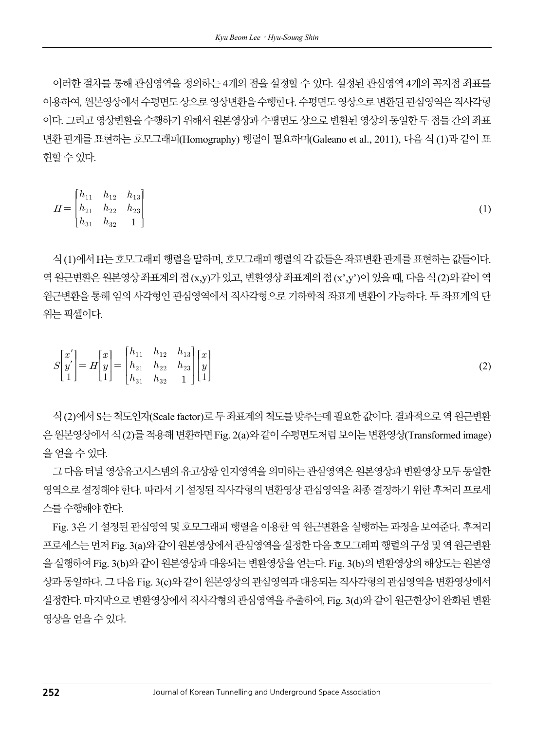이러한 절차를 통해 관심영역을 정의하는 4개의 점을 설정할 수 있다. 설정된 관심영역 4개의 꼭지점 좌표를 이용하여, 원본영상에서 수평면도 상으로 영상변환을 수행한다. 수평면도 영상으로 변환된 관심영역은 직사각형 이다. 그리고 영상변환을 수행하기 위해서 원본영상과 수평면도 상으로 변환된 영상의 동일한 두 점들 간의 좌표 변환 관계를 표현하는 호모그래피(Homography) 행렬이 필요하며(Galeano et al., 2011), 다음 식 (1)과 같이 표 현할 수 있다.

$$
H = \begin{bmatrix} h_{11} & h_{12} & h_{13} \\ h_{21} & h_{22} & h_{23} \\ h_{31} & h_{32} & 1 \end{bmatrix}
$$
 (1)

식 (1)에서 H는 호모그래피 행렬을 말하며, 호모그래피 행렬의 각값들은 좌표변환 관계를 표현하는 값들이다. 역 원근변환은 원본영상 좌표계의 점 (x,y)가 있고, 변환영상 좌표계의 점 (x',y')이 있을 때, 다음 식 (2)와 같이 역 원근변환을 통해 임의 사각형인 관심영역에서 직사각형으로 기하학적 좌표계 변환이 가능하다. 두 좌표계의 단 위는 픽셀이다.

$$
S\begin{bmatrix} x' \\ y' \\ 1 \end{bmatrix} = H\begin{bmatrix} x \\ y \\ 1 \end{bmatrix} = \begin{bmatrix} h_{11} & h_{12} & h_{13} \\ h_{21} & h_{22} & h_{23} \\ h_{31} & h_{32} & 1 \end{bmatrix} \begin{bmatrix} x \\ y \\ 1 \end{bmatrix}
$$
 (2)

식 (2)에서 S는 척도인자(Scale factor)로 두 좌표계의 척도를 맞추는데 필요한 값이다. 결과적으로 역 원근변환 은 원본영상에서 식 (2)를 적용해 변환하면 Fig. 2(a)와 같이 수평면도처럼 보이는 변환영상(Transformed image) 을 얻을 수 있다.

그 다음 터널 영상유고시스템의 유고상황 인지영역을 의미하는 관심영역은 원본영상과 변환영상 모두 동일한 영역으로 설정해야 한다. 따라서 기 설정된 직사각형의 변환영상 관심영역을 최종 결정하기 위한 후처리 프로세 스를 수행해야 한다.

Fig. 3은 기 설정된 관심영역 및 호모그래피 행렬을 이용한 역 원근변환을 실행하는 과정을 보여준다. 후처리 프로세스는 먼저 Fig. 3(a)와 같이 원본영상에서 관심영역을 설정한 다음 호모그래피 행렬의 구성 및 역 원근변환 을 실행하여 Fig. 3(b)와 같이 원본영상과 대응되는 변환영상을 얻는다. Fig. 3(b)의 변환영상의 해상도는 원본영 상과 동일하다. 그 다음 Fig. 3(c)와 같이 원본영상의 관심영역과 대응되는 직사각형의 관심영역을 변환영상에서 설정한다. 마지막으로 변환영상에서 직사각형의 관심영역을 추출하여, Fig. 3(d)와 같이 원근현상이 완화된 변환 영상을 얻을 수 있다.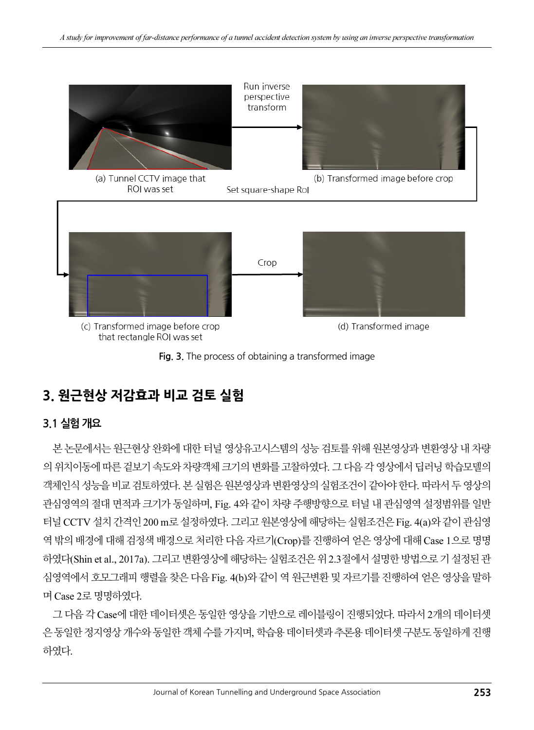



### 3. 원근현상 저감효과 비교 검토 실험

#### 3.1 실험 개요

본 논문에서는 원근현상 완화에 대한 터널 영상유고시스템의 성능 검토를 위해 원본영상과 변환영상 내 차량의 위치이동에 따른 겉보기 속도와 차량객체 크기의 변화를 고찰하였다. 그 다음 각 영상에서 딥러닝 학습모델의 객체인식 성능을 비교 검토하였다. 본 실험은 원본영상과 변환영상의 실험조건이 같아야 한다. 따라서 두 영상의 관심영역의 절대 면적과 크기가 동일하며, Fig. 4와 같이 차량 주행방향으로 터널 내 관심영역 설정범위를 일반 터널 CCTV 설치 간격인 200 m로 설정하였다. 그리고 원본영상에 해당하는 실험조건은 Fig. 4(a)와 같이 관심영 역 밖의 배경에 대해 검정색 배경으로 처리한 다음 자르기(Crop)를 진행하여 얻은 영상에 대해 Case 1으로 명명 하였다(Shin et al., 2017a). 그리고 변환영상에 해당하는 실험조건은 위 2.3절에서 설명한 방법으로 기 설정된 관 심영역에서 호모그래피 행렬을 찾은 다음 Fig. 4(b)와 같이 역 원근변환 및 자르기를 진행하여 얻은 영상을 말하 며 Case 2로 명명하였다.

그 다음 각 Case에 대한 데이터셋은 동일한 영상을 기반으로 레이블링이 진행되었다. 따라서 2개의 데이터셋 은 동일한 정지영상 개수와 동일한 객체 수를 가지며, 학습용 데이터셋과 추론용 데이터셋 구분도 동일하게 진행 하였다.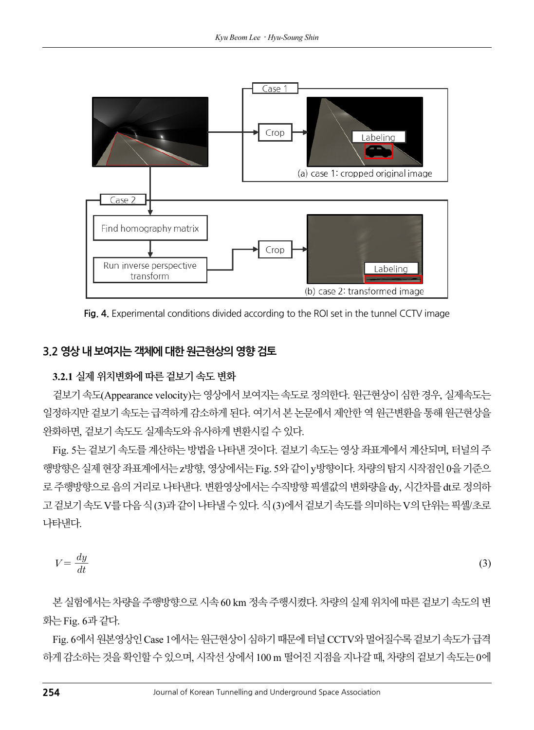

Fig. 4. Experimental conditions divided according to the ROI set in the tunnel CCTV image

#### 3.2 영상 내 보여지는 객체에 대한 원근현상의 영향 검토

#### 3.2.1 실제 위치변화에 따른 겉보기 속도 변화

겉보기 속도(Appearance velocity)는 영상에서 보여지는 속도로 정의한다. 원근현상이 심한 경우, 실제속도는 일정하지만 겉보기 속도는 급격하게 감소하게 된다. 여기서 본 논문에서 제안한 역 원근변환을 통해 원근현상을 완화하면, 겉보기 속도도 실제속도와 유사하게 변환시킬 수 있다.

Fig. 5는 겉보기 속도를 계산하는 방법을 나타낸 것이다. 겉보기 속도는 영상 좌표계에서 계산되며, 터널의 주 행방향은 실제 현장 좌표계에서는 z방향, 영상에서는 Fig. 5와 같이 y방향이다. 차량의 탐지 시작점인 0을 기준으 로 주행방향으로 음의 거리로 나타낸다. 변환영상에서는 수직방향 픽셀값의 변화량을 dy, 시간차를 dt로 정의하 고 겉보기 속도 V를 다음 식 (3)과 같이 나타낼 수 있다. 식 (3)에서 겉보기 속도를 의미하는 V의 단위는 픽셀/초로 나타낸다. 

$$
V = \frac{dy}{dt} \tag{3}
$$

본 실험에서는 차량을 주행방향으로 시속 60 km 정속 주행시켰다. 차량의 실제 위치에 따른 겉보기 속도의 변 화는 Fig. 6과 같다.

Fig. 6에서 원본영상인 Case 1에서는 원근현상이 심하기 때문에 터널 CCTV와 멀어질수록 겉보기 속도가 급격 하게 감소하는 것을 확인할 수 있으며, 시작선 상에서 100 m 떨어진 지점을 지나갈 때, 차량의 겉보기 속도는 0에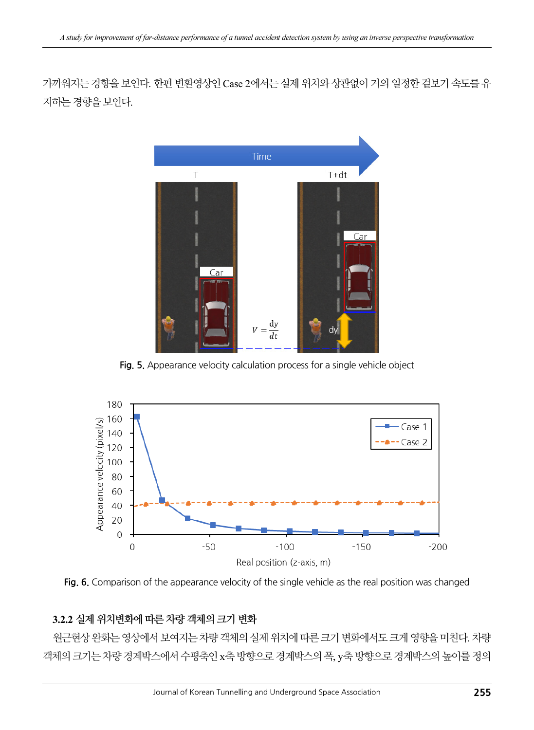가까워지는 경향을 보인다. 한편 변환영상인 Case 2에서는 실제 위치와 상관없이 거의 일정한 겉보기 속도를 유 지하는 경향을 보인다.



Fig. 5. Appearance velocity calculation process for a single vehicle object



Fig. 6. Comparison of the appearance velocity of the single vehicle as the real position was changed

#### 3.2.2 실제 위치변화에 따른 차량 객체의 크기 변화

원근현상 완화는 영상에서 보여지는 차량 객체의 실제 위치에 따른 크기 변화에서도 크게 영향을 미친다. 차량 객체의 크기는 차량 경계박스에서 수평축인 x축 방향으로 경계박스의 폭, y축 방향으로 경계박스의 높이를 정의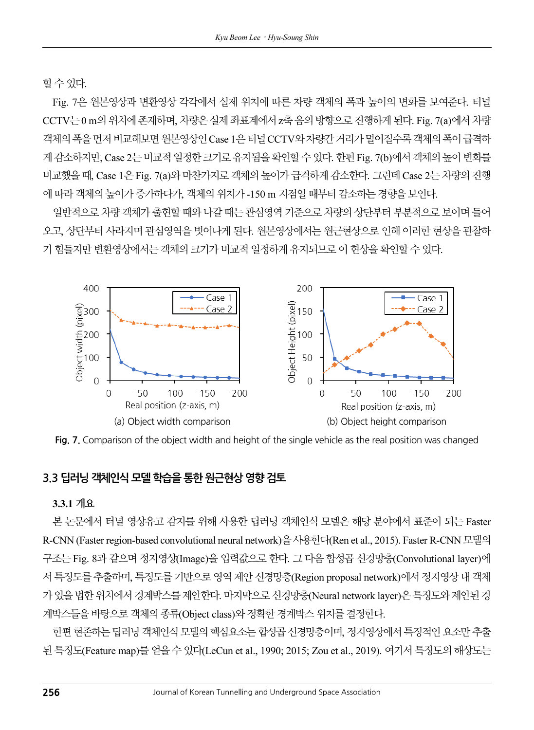할 수 있다.

Fig. 7은 원본영상과 변환영상 각각에서 실제 위치에 따른 차량 객체의 폭과 높이의 변화를 보여준다. 터널 CCTV는 0 m의 위치에 존재하며, 차량은 실제 좌표계에서 z축 음의 방향으로 진행하게 된다. Fig. 7(a)에서 차량 객체의 폭을 먼저 비교해보면 원본영상인 Case 1은 터널 CCTV와 차량간 거리가 멀어질수록 객체의 폭이 급격하 게 감소하지만, Case 2는 비교적 일정한 크기로 유지됨을 확인할 수 있다. 한편 Fig. 7(b)에서 객체의 높이 변화를 비교했을 때, Case 1은 Fig. 7(a)와 마찬가지로 객체의 높이가 급격하게 감소한다. 그런데 Case 2는 차량의 진행 에 따라 객체의 높이가 증가하다가, 객체의 위치가 -150 m 지점일 때부터 감소하는 경향을 보인다.

일반적으로 차량 객체가 출현할 때와 나갈 때는 관심영역 기준으로 차량의 상단부터 부분적으로 보이며 들어 오고, 상단부터 사라지며 관심영역을 벗어나게 된다. 원본영상에서는 원근현상으로 인해 이러한 현상을 관찰하 기 힘들지만 변환영상에서는 객체의 크기가 비교적 일정하게 유지되므로 이 현상을 확인할 수 있다.



Fig. 7. Comparison of the object width and height of the single vehicle as the real position was changed

#### 3.3 딥러닝 객체인식 모델 학습을 통한 원근현상 영향 검토

#### 3.3.1 개요

본 논문에서 터널 영상유고 감지를 위해 사용한 딥러닝 객체인식 모델은 해당 분야에서 표준이 되는 Faster R-CNN (Faster region-based convolutional neural network)을 사용한다(Ren et al., 2015). Faster R-CNN 모델의 구조는 Fig. 8과 같으며 정지영상(Image)을 입력값으로 한다. 그 다음 합성곱 신경망층(Convolutional layer)에 서 특징도를 추출하며, 특징도를 기반으로 영역 제안 신경망층(Region proposal network)에서 정지영상 내 객체 가 있을 법한 위치에서 경계박스를 제안한다. 마지막으로 신경망층(Neural network layer)은 특징도와 제안된 경 계박스들을 바탕으로 객체의 종류(Object class)와 정확한 경계박스 위치를 결정한다.

한편 현존하는 딥러닝 객체인식 모델의 핵심요소는 합성곱 신경망층이며, 정지영상에서 특징적인 요소만 추출 된 특징도(Feature map)를 얻을 수 있다(LeCun et al., 1990; 2015; Zou et al., 2019). 여기서 특징도의 해상도는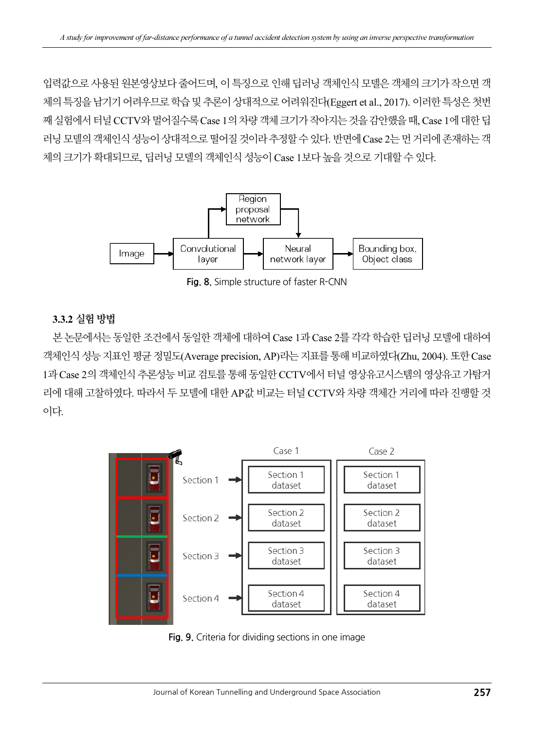입력값으로 사용된 원본영상보다 줄어드며, 이 특징으로 인해 딥러닝 객체인식 모델은 객체의 크기가 작으면 객 체의 특징을 남기기 어려우므로 학습 및 추론이 상대적으로 어려워진다(Eggert et al., 2017). 이러한 특성은 첫번 째 실험에서 터널 CCTV와 멀어질수록 Case 1의 차량 객체 크기가 작아지는 것을 감안했을 때, Case 1에 대한 딥 러닝 모델의 객체인식 성능이 상대적으로 떨어질 것이라 추정할 수 있다. 반면에 Case 2는 먼 거리에 존재하는 객 체의 크기가 확대되므로, 딥러닝 모델의 객체인식 성능이 Case 1보다 높을 것으로 기대할 수 있다.



Fig. 8. Simple structure of faster R-CNN

#### 3.3.2 실험 방법

본 논문에서는 동일한 조건에서 동일한 객체에 대하여 Case 1과 Case 2를 각각 학습한 딥러닝 모델에 대하여 객체인식 성능 지표인 평균 정밀도(Average precision, AP)라는 지표를 통해 비교하였다(Zhu, 2004). 또한 Case 1과 Case 2의 객체인식 추론성능 비교 검토를 통해 동일한 CCTV에서 터널 영상유고시스템의 영상유고 가탐거 리에 대해 고찰하였다. 따라서 두 모델에 대한 AP값 비교는 터널 CCTV와 차량 객체간 거리에 따라 진행할 것 이다.



Fig. 9. Criteria for dividing sections in one image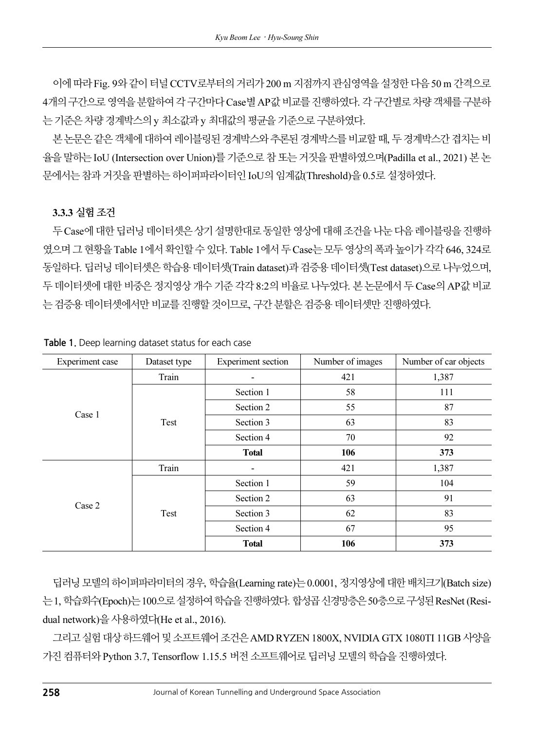이에 따라 Fig. 9와 같이 터널 CCTV로부터의 거리가 200 m 지점까지 관심영역을 설정한 다음 50 m 간격으로 4개의 구간으로 영역을 분할하여 각 구간마다 Case별AP값 비교를 진행하였다. 각 구간별로 차량 객체를 구분하 는 기준은 차량 경계박스의 y 최소값과 y 최대값의 평균을 기준으로 구분하였다.

본 논문은 같은 객체에 대하여 레이블링된 경계박스와 추론된 경계박스를 비교할 때, 두 경계박스간 겹치는 비 율을 말하는 IoU (Intersection over Union)를 기준으로 참 또는 거짓을 판별하였으며(Padilla et al., 2021) 본 논 문에서는 참과 거짓을 판별하는 하이퍼파라이터인 IoU의 임계값(Threshold)을 0.5로 설정하였다.

#### 3.3.3 실험 조건

두 Case에 대한 딥러닝 데이터셋은 상기 설명한대로 동일한 영상에 대해 조건을 나눈 다음 레이블링을 진행하 였으며 그 현황을 Table 1에서 확인할 수 있다. Table 1에서 두 Case는 모두 영상의 폭과 높이가 각각646, 324로 동일하다. 딥러닝 데이터셋은 학습용 데이터셋(Train dataset)과 검증용 데이터셋(Test dataset)으로 나누었으며, 두 데이터셋에 대한 비중은 정지영상 개수 기준 각각 8:2의 비율로 나누었다. 본 논문에서 두 Case의 AP값 비교 는 검증용 데이터셋에서만 비교를 진행할 것이므로, 구간 분할은 검증용 데이터셋만 진행하였다.

| Experiment case | Dataset type | <b>Experiment section</b> | Number of images | Number of car objects |
|-----------------|--------------|---------------------------|------------------|-----------------------|
| Case 1          | Train        | 421                       |                  | 1,387                 |
|                 | Test         | Section 1                 | 58               | 111                   |
|                 |              | Section 2                 | 55               | 87                    |
|                 |              | Section 3                 | 63               | 83                    |
|                 |              | Section 4                 | 70               | 92                    |
|                 |              | <b>Total</b>              | 106              | 373                   |
| Case 2          | Train        |                           | 421              | 1,387                 |
|                 | Test         | Section 1                 | 59               | 104                   |
|                 |              | Section 2                 | 63               | 91                    |
|                 |              | Section 3                 | 62               | 83                    |
|                 |              | Section 4                 | 67               | 95                    |
|                 |              | <b>Total</b>              | 106              | 373                   |

Table 1. Deep learning dataset status for each case

딥러닝 모델의 하이퍼파라미터의 경우, 학습율(Learning rate)는 0.0001, 정지영상에 대한 배치크기(Batch size) 는 1, 학습회수(Epoch)는 100으로 설정하여 학습을 진행하였다. 합성곱 신경망층은 50층으로 구성된 ResNet (Residual network)을 사용하였다(He et al., 2016).

그리고 실험 대상 하드웨어 및 소프트웨어 조건은 AMD RYZEN 1800X, NVIDIA GTX 1080TI 11GB 사양을 가진 컴퓨터와 Python 3.7, Tensorflow 1.15.5 버전 소프트웨어로 딥러닝 모델의 학습을 진행하였다.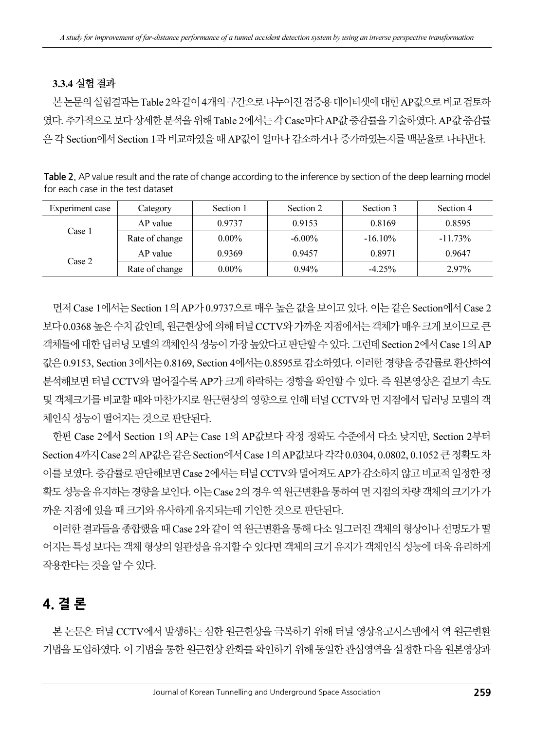#### 3.3.4 실험 결과

본 논문의 실험결과는 Table 2와 같이 4개의 구간으로 나누어진 검증용 데이터셋에 대한 AP값으로 비교 검토하 였다. 추가적으로 보다 상세한 분석을 위해 Table 2에서는 각Case마다 AP값증감률을 기술하였다. AP값증감률 은 각 Section에서 Section 1과 비교하였을 때 AP값이 얼마나 감소하거나 증가하였는지를 백분율로 나타낸다.

| Table 2. AP value result and the rate of change according to the inference by section of the deep learning model |
|------------------------------------------------------------------------------------------------------------------|
| for each case in the test dataset                                                                                |

| Experiment case | Category       | Section 1 | Section 2 | Section 3  | Section 4  |
|-----------------|----------------|-----------|-----------|------------|------------|
| Case 1          | AP value       | 0.9737    | 0.9153    | 0.8169     | 0.8595     |
|                 | Rate of change | $0.00\%$  | $-6.00\%$ | $-16.10\%$ | $-11.73\%$ |
| Case 2          | AP value       | 0.9369    | 0.9457    | 0.8971     | 0.9647     |
|                 | Rate of change | $0.00\%$  | $0.94\%$  | $-4.25%$   | 2.97%      |

먼저 Case 1에서는 Section 1의 AP가 0.9737으로 매우 높은 값을 보이고 있다. 이는 같은 Section에서 Case 2 보다 0.0368 높은 수치 값인데, 원근현상에 의해 터널 CCTV와 가까운 지점에서는 객체가 매우 크게 보이므로 큰 객체들에 대한 딥러닝 모델의 객체인식 성능이 가장 높았다고 판단할 수 있다. 그런데 Section 2에서 Case 1의 AP 값은 0.9153, Section 3에서는 0.8169, Section 4에서는 0.8595로 감소하였다. 이러한 경향을 증감률로 환산하여 분석해보면 터널 CCTV와 멀어질수록 AP가 크게 하락하는 경향을 확인할 수 있다. 즉 원본영상은 겉보기 속도 및 객체크기를 비교할 때와 마찬가지로 원근현상의 영향으로 인해 터널 CCTV와 먼 지점에서 딥러닝 모델의 객 체인식 성능이 떨어지는 것으로 판단된다.

한편 Case 2에서 Section 1의 AP는 Case 1의 AP값보다 작정 정확도 수준에서 다소 낮지만, Section 2부터 Section 4까지 Case 2의 AP값은 같은 Section에서 Case 1의 AP값보다 각각0.0304, 0.0802, 0.1052 큰 정확도 차 이를 보였다. 증감률로 판단해보면 Case 2에서는 터널 CCTV와 멀어져도 AP가 감소하지 않고 비교적 일정한 정 확도 성능을 유지하는 경향을 보인다. 이는 Case 2의 경우 역 원근변환을 통하여 먼 지점의 차량 객체의 크기가 가 까운 지점에 있을 때 크기와 유사하게 유지되는데 기인한 것으로 판단된다.

이러한 결과들을 종합했을 때 Case 2와 같이 역 원근변환을 통해 다소 일그러진 객체의 형상이나 선명도가 떨 어지는 특성 보다는 객체 형상의 일관성을 유지할 수 있다면 객체의 크기 유지가 객체인식 성능에 더욱 유리하게 작용한다는 것을 알 수 있다.

### 4. 결 론

본 논문은 터널 CCTV에서 발생하는 심한 원근현상을 극복하기 위해 터널 영상유고시스템에서 역 원근변환 기법을 도입하였다. 이 기법을 통한 원근현상 완화를 확인하기 위해 동일한 관심영역을 설정한 다음 원본영상과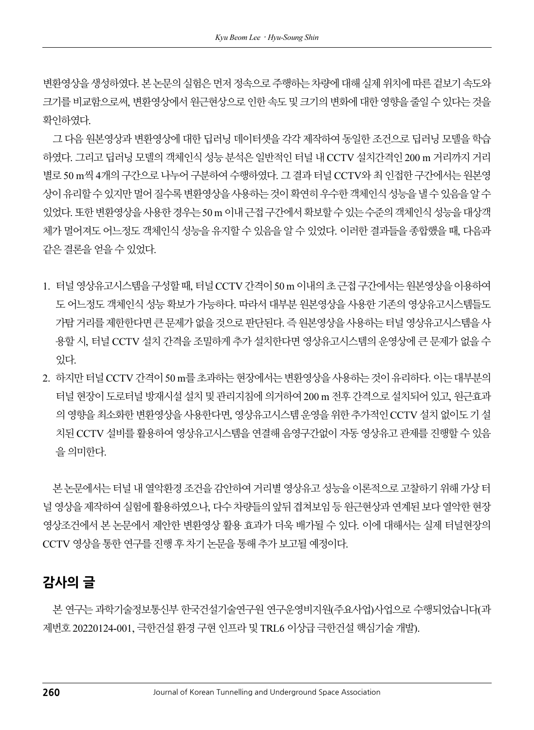변환영상을 생성하였다. 본 논문의 실험은 먼저 정속으로 주행하는 차량에 대해 실제 위치에 따른 겉보기 속도와 크기를 비교함으로써, 변환영상에서 원근현상으로 인한 속도 및 크기의 변화에 대한 영향을 줄일 수 있다는 것을 확인하였다.

그 다음 원본영상과 변환영상에 대한 딥러닝 데이터셋을 각각 제작하여 동일한 조건으로 딥러닝 모델을 학습 하였다. 그리고 딥러닝 모델의 객체인식 성능 분석은 일반적인 터널 내 CCTV 설치간격인 200 m 거리까지 거리 별로 50 m씩 4개의 구간으로 나누어 구분하여 수행하였다. 그 결과 터널 CCTV와 최 인접한 구간에서는 원본영 상이 유리할 수 있지만 멀어 질수록 변환영상을 사용하는 것이 확연히 우수한 객체인식 성능을 낼 수 있음을 알 수 있었다. 또한 변환영상을 사용한 경우는 50 m 이내 근접 구간에서 확보할 수 있는 수준의 객체인식 성능을 대상객 체가 멀어져도 어느정도 객체인식 성능을 유지할 수 있음을 알 수 있었다. 이러한 결과들을 종합했을 때, 다음과 같은 결론을 얻을 수 있었다.

- 1. 터널 영상유고시스템을 구성할 때, 터널 CCTV 간격이 50 m 이내의 초 근접 구간에서는 원본영상을 이용하여 도 어느정도 객체인식 성능 확보가 가능하다. 따라서 대부분 원본영상을 사용한 기존의 영상유고시스템들도 가탐 거리를 제한한다면 큰 문제가 없을 것으로 판단된다. 즉 원본영상을 사용하는 터널 영상유고시스템을 사 용할 시, 터널 CCTV 설치 간격을 조밀하게 추가 설치한다면 영상유고시스템의 운영상에 큰 문제가 없을 수 있다.
- 2. 하지만 터널 CCTV 간격이 50 m를 초과하는 현장에서는 변환영상을 사용하는 것이 유리하다. 이는 대부분의 터널 현장이 도로터널 방재시설 설치 및 관리지침에 의거하여 200 m 전후 간격으로 설치되어 있고, 원근효과 의 영향을 최소화한 변환영상을 사용한다면, 영상유고시스템 운영을 위한 추가적인 CCTV 설치 없이도 기 설 치된 CCTV 설비를 활용하여 영상유고시스템을 연결해 음영구간없이 자동 영상유고 관제를 진행할 수 있음 을 의미한다.

본 논문에서는 터널 내 열악환경 조건을 감안하여 거리별 영상유고 성능을 이론적으로 고찰하기 위해 가상 터 널 영상을 제작하여 실험에 활용하였으나, 다수 차량들의 앞뒤겹쳐보임 등 원근현상과 연계된 보다 열악한 현장 영상조건에서 본 논문에서 제안한 변환영상 활용 효과가 더욱 배가될 수 있다. 이에 대해서는 실제 터널현장의 CCTV 영상을 통한 연구를 진행 후 차기 논문을 통해 추가 보고될 예정이다.

### 감사의 글

본 연구는 과학기술정보통신부 한국건설기술연구원 연구운영비지원(주요사업)사업으로 수행되었습니다(과 제번호 20220124-001, 극한건설 환경 구현 인프라 및 TRL6 이상급 극한건설 핵심기술 개발).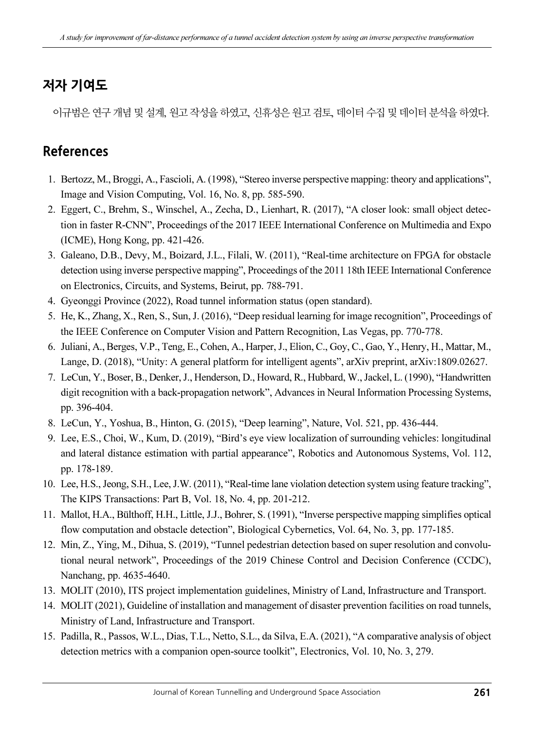### 저자 기여도

이규범은 연구 개념 및 설계, 원고 작성을 하였고, 신휴성은 원고 검토, 데이터 수집 및 데이터 분석을 하였다.

### References

- 1. Bertozz, M., Broggi, A., Fascioli, A. (1998), "Stereo inverse perspective mapping: theory and applications", Image and Vision Computing, Vol. 16, No. 8, pp. 585-590.
- 2. Eggert, C., Brehm, S., Winschel, A., Zecha, D., Lienhart, R. (2017), "A closer look: small object detection in faster R-CNN", Proceedings of the 2017 IEEE International Conference on Multimedia and Expo (ICME), Hong Kong, pp. 421-426.
- 3. Galeano, D.B., Devy, M., Boizard, J.L., Filali, W. (2011), "Real-time architecture on FPGA for obstacle detection using inverse perspective mapping", Proceedings of the 2011 18th IEEE International Conference on Electronics, Circuits, and Systems, Beirut, pp. 788-791.
- 4. Gyeonggi Province (2022), Road tunnel information status (open standard).
- 5. He, K., Zhang, X., Ren, S., Sun, J. (2016), "Deep residual learning for image recognition", Proceedings of the IEEE Conference on Computer Vision and Pattern Recognition, Las Vegas, pp. 770-778.
- 6. Juliani, A., Berges, V.P., Teng, E., Cohen, A., Harper, J., Elion, C., Goy, C., Gao, Y., Henry, H., Mattar, M., Lange, D. (2018), "Unity: A general platform for intelligent agents", arXiv preprint, arXiv:1809.02627.
- 7. LeCun, Y., Boser, B., Denker, J., Henderson, D., Howard, R., Hubbard, W., Jackel, L. (1990), "Handwritten digit recognition with a back-propagation network", Advances in Neural Information Processing Systems, pp. 396-404.
- 8. LeCun, Y., Yoshua, B., Hinton, G. (2015), "Deep learning", Nature, Vol. 521, pp. 436-444.
- 9. Lee, E.S., Choi, W., Kum, D. (2019), "Bird's eye view localization of surrounding vehicles: longitudinal and lateral distance estimation with partial appearance", Robotics and Autonomous Systems, Vol. 112, pp. 178-189.
- 10. Lee, H.S., Jeong, S.H., Lee, J.W. (2011), "Real-time lane violation detection system using feature tracking", The KIPS Transactions: Part B, Vol. 18, No. 4, pp. 201-212.
- 11. Mallot, H.A., Bülthoff, H.H., Little, J.J., Bohrer, S. (1991), "Inverse perspective mapping simplifies optical flow computation and obstacle detection", Biological Cybernetics, Vol. 64, No. 3, pp. 177-185.
- 12. Min, Z., Ying, M., Dihua, S. (2019), "Tunnel pedestrian detection based on super resolution and convolutional neural network", Proceedings of the 2019 Chinese Control and Decision Conference (CCDC), Nanchang, pp. 4635-4640.
- 13. MOLIT (2010), ITS project implementation guidelines, Ministry of Land, Infrastructure and Transport.
- 14. MOLIT (2021), Guideline of installation and management of disaster prevention facilities on road tunnels, Ministry of Land, Infrastructure and Transport.
- 15. Padilla, R., Passos, W.L., Dias, T.L., Netto, S.L., da Silva, E.A. (2021), "A comparative analysis of object detection metrics with a companion open-source toolkit", Electronics, Vol. 10, No. 3, 279.